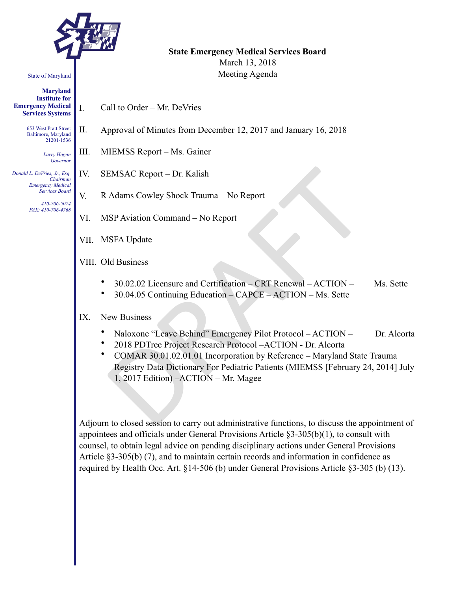

#### State of Maryland

**Maryland Institute for Emergency Medical Services Systems** 

> 653 West Pratt Street Baltimore, Maryland 21201-1536

> > *Larry Hogan Governor*

*Donald L. DeVries, Jr., Esq. Chairman Emergency Medical Services Board* 

*410-706-5074 FAX: 410-706-4768* 

# **State Emergency Medical Services Board**  March 13, 2018

Meeting Agenda

- I. Call to Order Mr. DeVries
- II. Approval of Minutes from December 12, 2017 and January 16, 2018
- III. MIEMSS Report Ms. Gainer
- IV. SEMSAC Report Dr. Kalish
- V. R Adams Cowley Shock Trauma No Report
- VI. MSP Aviation Command No Report
- VII. MSFA Update
- VIII. Old Business
	- 30.02.02 Licensure and Certification CRT Renewal ACTION Ms. Sette
	- 30.04.05 Continuing Education CAPCE ACTION Ms. Sette

### IX. New Business

- Naloxone "Leave Behind" Emergency Pilot Protocol ACTION Dr. Alcorta
- 2018 PDTree Project Research Protocol –ACTION Dr. Alcorta
- EMSAC Report Dr. Kalish<br>
Malams Cowley Shock Trauma No Report<br>
ISP Aviation Command No Report<br>
ISPA Update<br>
Id Business<br>
30.02.02 Licensure and Certification CRT Renewal ACTION –<br>
30.04.05 Continuing Education • COMAR 30.01.02.01.01 Incorporation by Reference – Maryland State Trauma Registry Data Dictionary For Pediatric Patients (MIEMSS [February 24, 2014] July 1, 2017 Edition) –ACTION – Mr. Magee

Adjourn to closed session to carry out administrative functions, to discuss the appointment of appointees and officials under General Provisions Article §3-305(b)(1), to consult with counsel, to obtain legal advice on pending disciplinary actions under General Provisions Article §3-305(b) (7), and to maintain certain records and information in confidence as required by Health Occ. Art. §14-506 (b) under General Provisions Article §3-305 (b) (13).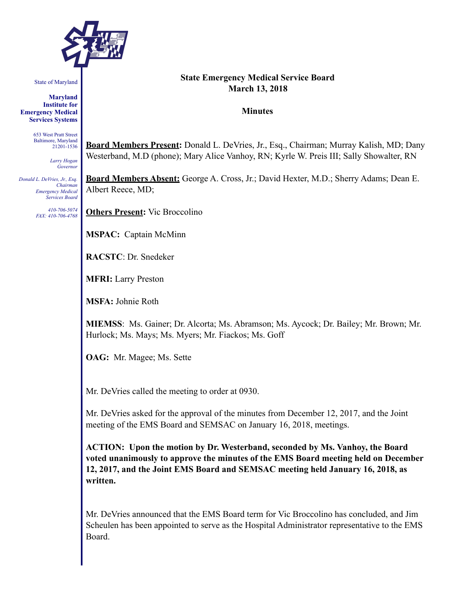

State of Maryland

**Maryland Institute for Emergency Medical Services Systems** 

> 653 West Pratt Street Baltimore, Maryland 21201-1536

> > *Larry Hogan Governor*

*Donald L. DeVries, Jr., Esq. Chairman Emergency Medical Services Board* 

> *410-706-5074 FAX: 410-706-4768*

#### **State Emergency Medical Service Board March 13, 2018**

#### **Minutes**

**Board Members Present:** Donald L. DeVries, Jr., Esq., Chairman; Murray Kalish, MD; Dany Westerband, M.D (phone); Mary Alice Vanhoy, RN; Kyrle W. Preis III; Sally Showalter, RN

**Board Members Absent:** George A. Cross, Jr.; David Hexter, M.D.; Sherry Adams; Dean E. Albert Reece, MD;

**Others Present:** Vic Broccolino

**MSPAC:** Captain McMinn

**RACSTC**: Dr. Snedeker

**MFRI:** Larry Preston

**MSFA:** Johnie Roth

**MIEMSS**: Ms. Gainer; Dr. Alcorta; Ms. Abramson; Ms. Aycock; Dr. Bailey; Mr. Brown; Mr. Hurlock; Ms. Mays; Ms. Myers; Mr. Fiackos; Ms. Goff

**OAG:** Mr. Magee; Ms. Sette

Mr. DeVries called the meeting to order at 0930.

Mr. DeVries asked for the approval of the minutes from December 12, 2017, and the Joint meeting of the EMS Board and SEMSAC on January 16, 2018, meetings.

**ACTION: Upon the motion by Dr. Westerband, seconded by Ms. Vanhoy, the Board voted unanimously to approve the minutes of the EMS Board meeting held on December 12, 2017, and the Joint EMS Board and SEMSAC meeting held January 16, 2018, as written.** 

Mr. DeVries announced that the EMS Board term for Vic Broccolino has concluded, and Jim Scheulen has been appointed to serve as the Hospital Administrator representative to the EMS Board.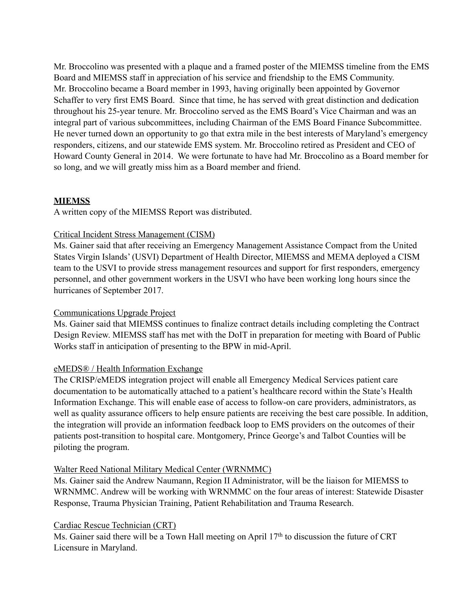Mr. Broccolino was presented with a plaque and a framed poster of the MIEMSS timeline from the EMS Board and MIEMSS staff in appreciation of his service and friendship to the EMS Community. Mr. Broccolino became a Board member in 1993, having originally been appointed by Governor Schaffer to very first EMS Board. Since that time, he has served with great distinction and dedication throughout his 25-year tenure. Mr. Broccolino served as the EMS Board's Vice Chairman and was an integral part of various subcommittees, including Chairman of the EMS Board Finance Subcommittee. He never turned down an opportunity to go that extra mile in the best interests of Maryland's emergency responders, citizens, and our statewide EMS system. Mr. Broccolino retired as President and CEO of Howard County General in 2014. We were fortunate to have had Mr. Broccolino as a Board member for so long, and we will greatly miss him as a Board member and friend.

# **MIEMSS**

A written copy of the MIEMSS Report was distributed.

# Critical Incident Stress Management (CISM)

Ms. Gainer said that after receiving an Emergency Management Assistance Compact from the United States Virgin Islands' (USVI) Department of Health Director, MIEMSS and MEMA deployed a CISM team to the USVI to provide stress management resources and support for first responders, emergency personnel, and other government workers in the USVI who have been working long hours since the hurricanes of September 2017.

### Communications Upgrade Project

Ms. Gainer said that MIEMSS continues to finalize contract details including completing the Contract Design Review. MIEMSS staff has met with the DoIT in preparation for meeting with Board of Public Works staff in anticipation of presenting to the BPW in mid-April.

### eMEDS® / Health Information Exchange

The CRISP/eMEDS integration project will enable all Emergency Medical Services patient care documentation to be automatically attached to a patient's healthcare record within the State's Health Information Exchange. This will enable ease of access to follow-on care providers, administrators, as well as quality assurance officers to help ensure patients are receiving the best care possible. In addition, the integration will provide an information feedback loop to EMS providers on the outcomes of their patients post-transition to hospital care. Montgomery, Prince George's and Talbot Counties will be piloting the program.

### Walter Reed National Military Medical Center (WRNMMC)

Ms. Gainer said the Andrew Naumann, Region II Administrator, will be the liaison for MIEMSS to WRNMMC. Andrew will be working with WRNMMC on the four areas of interest: Statewide Disaster Response, Trauma Physician Training, Patient Rehabilitation and Trauma Research.

# Cardiac Rescue Technician (CRT)

Ms. Gainer said there will be a Town Hall meeting on April  $17<sup>th</sup>$  to discussion the future of CRT Licensure in Maryland.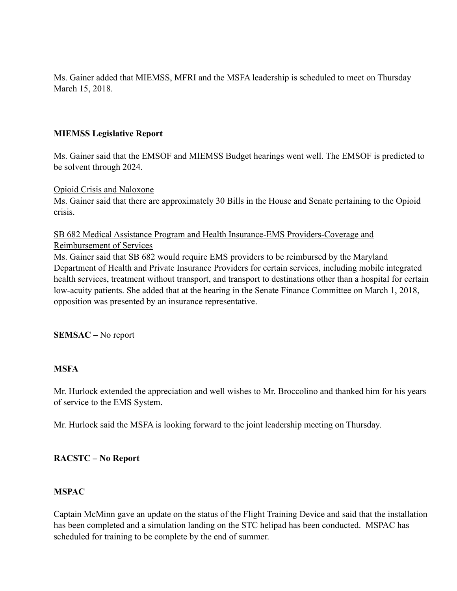Ms. Gainer added that MIEMSS, MFRI and the MSFA leadership is scheduled to meet on Thursday March 15, 2018.

## **MIEMSS Legislative Report**

Ms. Gainer said that the EMSOF and MIEMSS Budget hearings went well. The EMSOF is predicted to be solvent through 2024.

#### Opioid Crisis and Naloxone

Ms. Gainer said that there are approximately 30 Bills in the House and Senate pertaining to the Opioid crisis.

# SB 682 Medical Assistance Program and Health Insurance-EMS Providers-Coverage and Reimbursement of Services

Ms. Gainer said that SB 682 would require EMS providers to be reimbursed by the Maryland Department of Health and Private Insurance Providers for certain services, including mobile integrated health services, treatment without transport, and transport to destinations other than a hospital for certain low-acuity patients. She added that at the hearing in the Senate Finance Committee on March 1, 2018, opposition was presented by an insurance representative.

### **SEMSAC –** No report

### **MSFA**

Mr. Hurlock extended the appreciation and well wishes to Mr. Broccolino and thanked him for his years of service to the EMS System.

Mr. Hurlock said the MSFA is looking forward to the joint leadership meeting on Thursday.

### **RACSTC – No Report**

### **MSPAC**

Captain McMinn gave an update on the status of the Flight Training Device and said that the installation has been completed and a simulation landing on the STC helipad has been conducted. MSPAC has scheduled for training to be complete by the end of summer.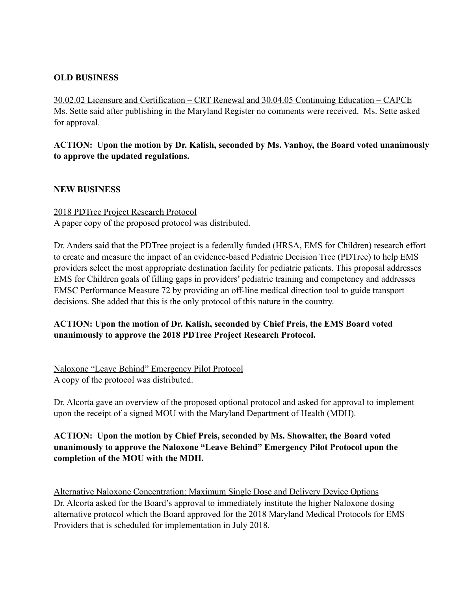# **OLD BUSINESS**

30.02.02 Licensure and Certification – CRT Renewal and 30.04.05 Continuing Education – CAPCE Ms. Sette said after publishing in the Maryland Register no comments were received. Ms. Sette asked for approval.

**ACTION: Upon the motion by Dr. Kalish, seconded by Ms. Vanhoy, the Board voted unanimously to approve the updated regulations.**

### **NEW BUSINESS**

2018 PDTree Project Research Protocol A paper copy of the proposed protocol was distributed.

Dr. Anders said that the PDTree project is a federally funded (HRSA, EMS for Children) research effort to create and measure the impact of an evidence-based Pediatric Decision Tree (PDTree) to help EMS providers select the most appropriate destination facility for pediatric patients. This proposal addresses EMS for Children goals of filling gaps in providers' pediatric training and competency and addresses EMSC Performance Measure 72 by providing an off-line medical direction tool to guide transport decisions. She added that this is the only protocol of this nature in the country.

# **ACTION: Upon the motion of Dr. Kalish, seconded by Chief Preis, the EMS Board voted unanimously to approve the 2018 PDTree Project Research Protocol.**

Naloxone "Leave Behind" Emergency Pilot Protocol A copy of the protocol was distributed.

Dr. Alcorta gave an overview of the proposed optional protocol and asked for approval to implement upon the receipt of a signed MOU with the Maryland Department of Health (MDH).

# **ACTION: Upon the motion by Chief Preis, seconded by Ms. Showalter, the Board voted unanimously to approve the Naloxone "Leave Behind" Emergency Pilot Protocol upon the completion of the MOU with the MDH.**

Alternative Naloxone Concentration: Maximum Single Dose and Delivery Device Options Dr. Alcorta asked for the Board's approval to immediately institute the higher Naloxone dosing alternative protocol which the Board approved for the 2018 Maryland Medical Protocols for EMS Providers that is scheduled for implementation in July 2018.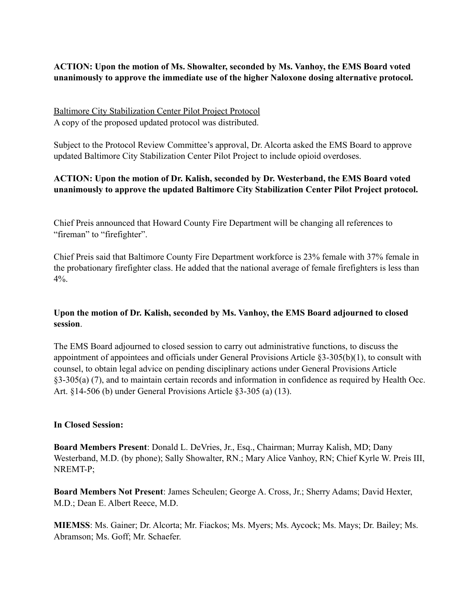# **ACTION: Upon the motion of Ms. Showalter, seconded by Ms. Vanhoy, the EMS Board voted unanimously to approve the immediate use of the higher Naloxone dosing alternative protocol.**

Baltimore City Stabilization Center Pilot Project Protocol A copy of the proposed updated protocol was distributed.

Subject to the Protocol Review Committee's approval, Dr. Alcorta asked the EMS Board to approve updated Baltimore City Stabilization Center Pilot Project to include opioid overdoses.

# **ACTION: Upon the motion of Dr. Kalish, seconded by Dr. Westerband, the EMS Board voted unanimously to approve the updated Baltimore City Stabilization Center Pilot Project protocol.**

Chief Preis announced that Howard County Fire Department will be changing all references to "fireman" to "firefighter".

Chief Preis said that Baltimore County Fire Department workforce is 23% female with 37% female in the probationary firefighter class. He added that the national average of female firefighters is less than  $4\%$ .

# **Upon the motion of Dr. Kalish, seconded by Ms. Vanhoy, the EMS Board adjourned to closed session**.

The EMS Board adjourned to closed session to carry out administrative functions, to discuss the appointment of appointees and officials under General Provisions Article §3-305(b)(1), to consult with counsel, to obtain legal advice on pending disciplinary actions under General Provisions Article §3-305(a) (7), and to maintain certain records and information in confidence as required by Health Occ. Art. §14-506 (b) under General Provisions Article §3-305 (a) (13).

### **In Closed Session:**

**Board Members Present**: Donald L. DeVries, Jr., Esq., Chairman; Murray Kalish, MD; Dany Westerband, M.D. (by phone); Sally Showalter, RN.; Mary Alice Vanhoy, RN; Chief Kyrle W. Preis III, NREMT-P;

**Board Members Not Present**: James Scheulen; George A. Cross, Jr.; Sherry Adams; David Hexter, M.D.; Dean E. Albert Reece, M.D.

**MIEMSS**: Ms. Gainer; Dr. Alcorta; Mr. Fiackos; Ms. Myers; Ms. Aycock; Ms. Mays; Dr. Bailey; Ms. Abramson; Ms. Goff; Mr. Schaefer.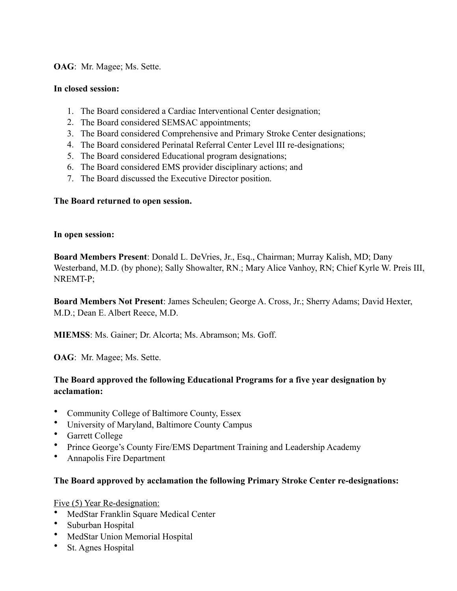### **OAG**: Mr. Magee; Ms. Sette.

#### **In closed session:**

- 1. The Board considered a Cardiac Interventional Center designation;
- 2. The Board considered SEMSAC appointments;
- 3. The Board considered Comprehensive and Primary Stroke Center designations;
- 4. The Board considered Perinatal Referral Center Level III re-designations;
- 5. The Board considered Educational program designations;
- 6. The Board considered EMS provider disciplinary actions; and
- 7. The Board discussed the Executive Director position.

### **The Board returned to open session.**

#### **In open session:**

**Board Members Present**: Donald L. DeVries, Jr., Esq., Chairman; Murray Kalish, MD; Dany Westerband, M.D. (by phone); Sally Showalter, RN.; Mary Alice Vanhoy, RN; Chief Kyrle W. Preis III, NREMT-P;

**Board Members Not Present**: James Scheulen; George A. Cross, Jr.; Sherry Adams; David Hexter, M.D.; Dean E. Albert Reece, M.D.

**MIEMSS**: Ms. Gainer; Dr. Alcorta; Ms. Abramson; Ms. Goff.

**OAG**: Mr. Magee; Ms. Sette.

# **The Board approved the following Educational Programs for a five year designation by acclamation:**

- Community College of Baltimore County, Essex
- University of Maryland, Baltimore County Campus
- Garrett College
- Prince George's County Fire/EMS Department Training and Leadership Academy
- Annapolis Fire Department

### **The Board approved by acclamation the following Primary Stroke Center re-designations:**

Five (5) Year Re-designation:

- MedStar Franklin Square Medical Center
- Suburban Hospital
- MedStar Union Memorial Hospital
- St. Agnes Hospital